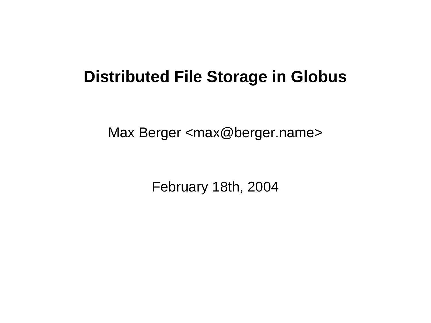### **Distributed File Storage in Globus**

Max Berger <max@berger.name>

February 18th, 2004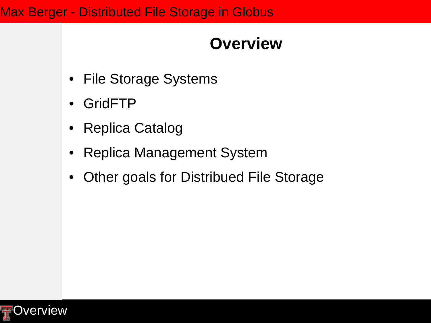### **Overview**

- File Storage Systems
- GridFTP
- Replica Catalog
- Replica Management System
- Other goals for Distribued File Storage

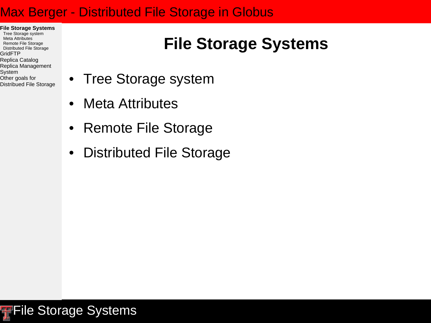- **File Storage Systems**
- Tree Storage system Meta Attributes
- Remote File Storage
- Distributed File Storage
- GridFTP
- Replica Catalog
- Replica Management
- System
- Other goals for
- Distribued File Storage

### **File Storage Systems**

- Tree Storage system
- Meta Attributes
- Remote File Storage
- Distributed File Storage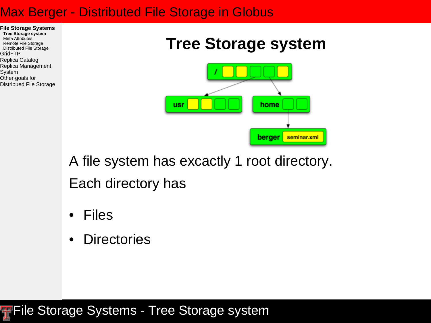

Other goals for Distribued File Storage

### **Tree Storage system**



A file system has excactly 1 root directory. Each directory has

- **Files**
- Directories

**FFile Storage Systems - Tree Storage system**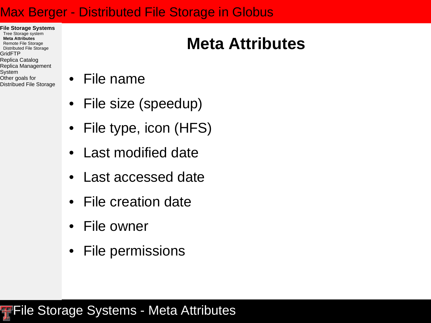- **File Storage Systems**
- Tree Storage system **Meta Attributes**
- Remote File Storage
- Distributed File Storage GridFTP
- 
- Replica Catalog
- Replica Management System
- Other goals for
- Distribued File Storage
- File name
- File size (speedup)
- File type, icon (HFS)
- Last modified date
- Last accessed date
- File creation date
- File owner
- File permissions

# **Meta Attributes**

**FFile Storage Systems - Meta Attributes**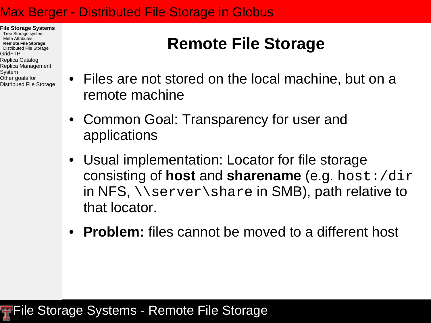- **File Storage Systems**
- Tree Storage system Meta Attributes
- **Remote File Storage**
- Distributed File Storage GridFTP
- Replica Catalog
- Replica Management
- System
- Other goals for
- Distribued File Storage

### **Remote File Storage**

- Files are not stored on the local machine, but on a remote machine
- Common Goal: Transparency for user and applications
- Usual implementation: Locator for file storage consisting of **host** and **sharename** (e.g. host:/dir in NFS, \\server\share in SMB), path relative to that locator.
- **Problem:** files cannot be moved to a different host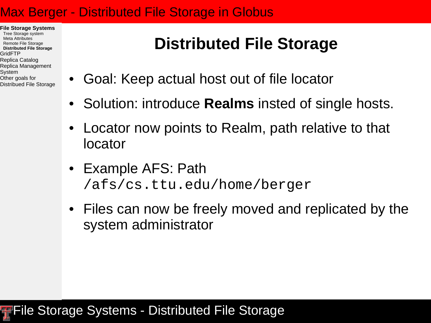- **File Storage Systems**
- Tree Storage system Meta Attributes
- Remote File Storage
- **Distributed File Storage**
- GridFTP
- Replica Catalog
- Replica Management
- System
- Other goals for
- Distribued File Storage

### **Distributed File Storage**

- Goal: Keep actual host out of file locator
- Solution: introduce **Realms** insted of single hosts.
- Locator now points to Realm, path relative to that locator
- Example AFS: Path /afs/cs.ttu.edu/home/berger
- Files can now be freely moved and replicated by the system administrator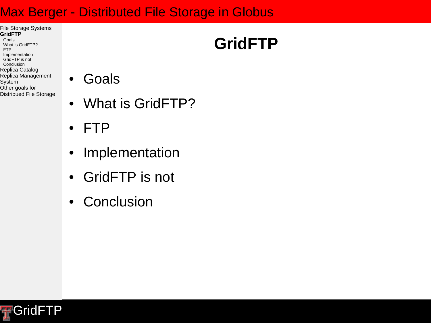#### File Storage Systems **GridFTP**

- Goals What is GridFTP?
- FTP
- Implementation
- GridFTP is not Conclusion
- Replica Catalog
- Replica Management
- System
- Other goals for
- Distribued File Storage

### **Goals**

- What is GridFTP?
- FTP
- Implementation
- GridFTP is not
- Conclusion



# **GridFTP**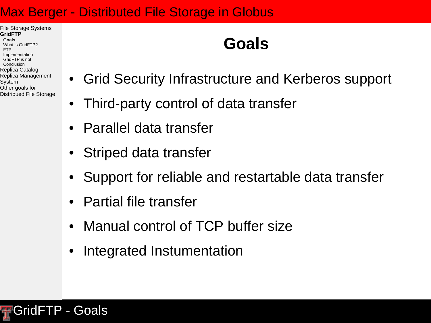File Storage Systems **GridFTP Goals**

- What is GridFTP? FTP
- Implementation
- GridFTP is not Conclusion
- Replica Catalog
- Replica Management
- System
- Other goals for
- Distribued File Storage

### **Goals**

- Grid Security Infrastructure and Kerberos support
	- Third-party control of data transfer
- Parallel data transfer
- Striped data transfer
- Support for reliable and restartable data transfer
- Partial file transfer
- Manual control of TCP buffer size
- Integrated Instumentation

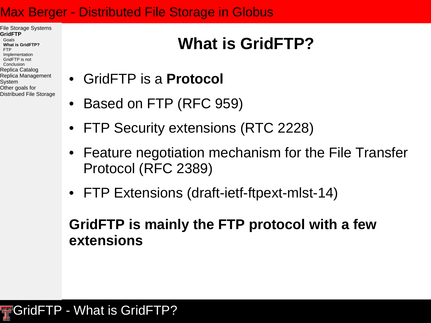- File Storage Systems **GridFTP** Goals **What is GridFTP?** FTP
- Implementation
- GridFTP is not
- Conclusion Replica Catalog
- Replica Management
- System
- Other goals for
- Distribued File Storage

# **What is GridFTP?**

- GridFTP is a **Protocol**
- Based on FTP (RFC 959)
- FTP Security extensions (RTC 2228)
- Feature negotiation mechanism for the File Transfer Protocol (RFC 2389)
- FTP Extensions (draft-ietf-ftpext-mlst-14)

### **GridFTP is mainly the FTP protocol with a few extensions**

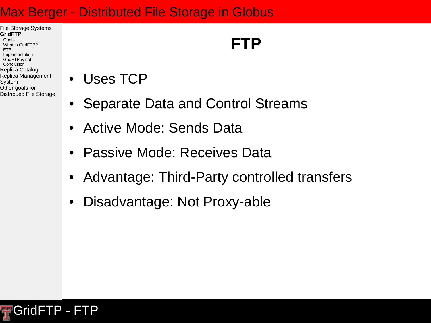#### File Storage Systems **GridFTP** Goals

- What is GridFTP?
- **FTP** Implementation
- GridFTP is not
- Conclusion
- Replica Catalog
- Replica Management System
- Other goals for
- Distribued File Storage

## **FTP**

- Uses TCP
- Separate Data and Control Streams
- Active Mode: Sends Data
- Passive Mode: Receives Data
- Advantage: Third-Party controlled transfers
- Disadvantage: Not Proxy-able

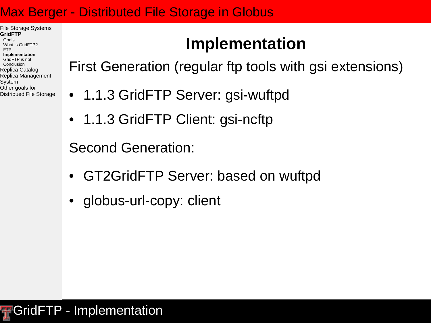File Storage Systems **GridFTP**

- Goals What is GridFTP?
- FTP
- **Implementation** GridFTP is not
- Conclusion
- Replica Catalog
- Replica Management
- System
- Other goals for Distribued File Storage

### **Implementation**

First Generation (regular ftp tools with gsi extensions)

- 1.1.3 GridFTP Server: gsi-wuftpd
	- 1.1.3 GridFTP Client: gsi-ncftp

Second Generation:

- GT2GridFTP Server: based on wuftpd
- globus-url-copy: client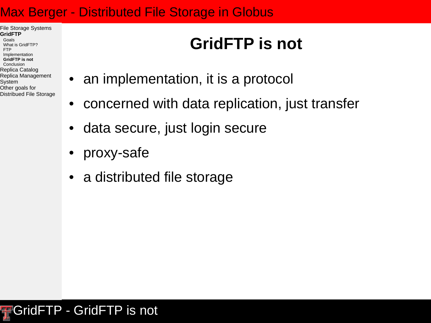File Storage Systems **GridFTP** Goals

- What is GridFTP?
- FTP
- Implementation
- **GridFTP is not** Conclusion
- Replica Catalog
- Replica Management
- System
- Other goals for
- Distribued File Storage

# **GridFTP is not**

- an implementation, it is a protocol
- concerned with data replication, just transfer
- data secure, just login secure
- proxy-safe
- a distributed file storage

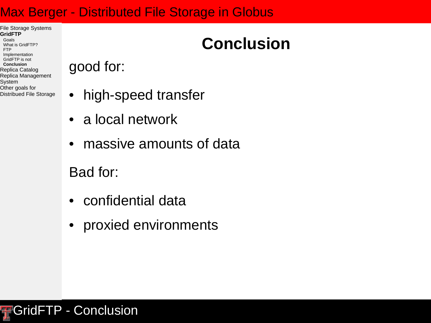- File Storage Systems **GridFTP**
- Goals What is GridFTP?
- FTP
- Implementation GridFTP is not
- **Conclusion**
- Replica Catalog
- Replica Management
- System
- Other goals for Distribued File Storage

### **Conclusion**

• high-speed transfer

- a local network
- massive amounts of data

Bad for:

good for:

- confidential data
- proxied environments

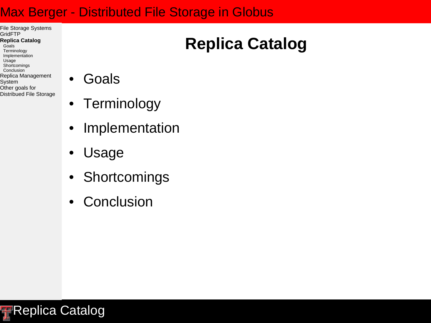- File Storage Systems GridFTP **Replica Catalog** Goals Terminology
- Implementation
- Usage
- **Shortcomings** Conclusion
- Replica Management
- System
- Other goals for
- Distribued File Storage

### **Goals**

- Terminology
- Implementation
- Usage
- Shortcomings
- Conclusion



# **Replica Catalog**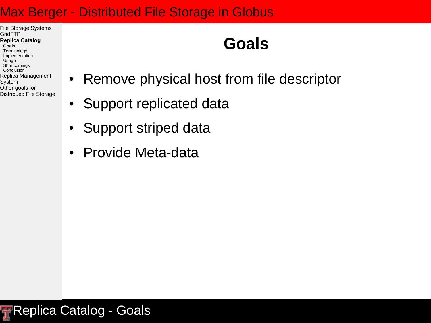File Storage Systems **GridFTP Replica Catalog Goals** Terminology Implementation Usage **Shortcomings Conclusion** Replica Management System

Distribued File Storage

Other goals for

### **Goals**

- Remove physical host from file descriptor
- Support replicated data
- Support striped data
- Provide Meta-data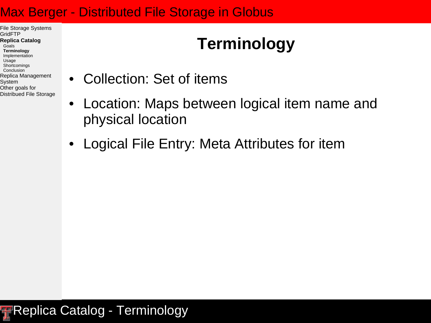File Storage Systems GridFTP **Replica Catalog** Goals **Terminology** Implementation Usage **Shortcomings Conclusion** Replica Management

#### System

Other goals for Distribued File Storage

# **Terminology**

- Collection: Set of items
- Location: Maps between logical item name and physical location
- Logical File Entry: Meta Attributes for item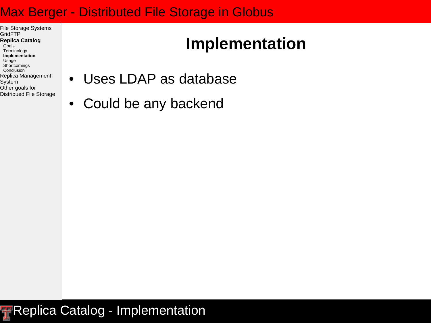File Storage Systems **GridFTP Replica Catalog** Goals Terminology **Implementation** Usage **Shortcomings** Conclusion Replica Management System Other goals for

Distribued File Storage

### **Implementation**

- Uses LDAP as database
- Could be any backend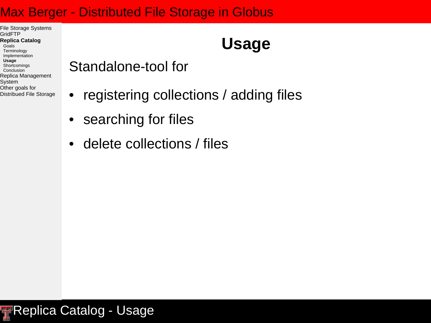File Storage Systems **GridFTP Replica Catalog** Goals Terminology Implementation **Usage**

- **Shortcomings** Conclusion
- Replica Management
- System
- Other goals for
- Distribued File Storage

### **Usage**

- Standalone-tool for
- registering collections / adding files
- searching for files
- delete collections / files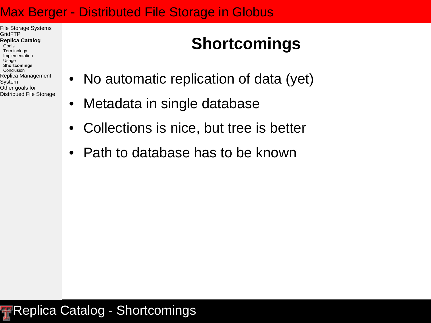File Storage Systems GridFTP **Replica Catalog** Goals Terminology Implementation Usage **Shortcomings** Conclusion Replica Management System Other goals for

Distribued File Storage

### **Shortcomings**

- No automatic replication of data (yet)
- Metadata in single database
- Collections is nice, but tree is better
- Path to database has to be known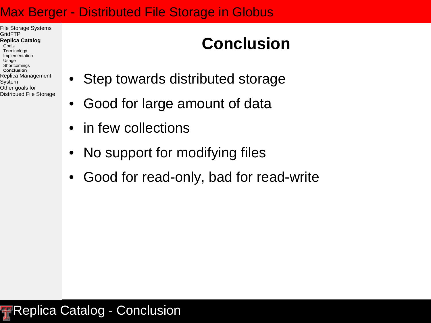File Storage Systems GridFTP **Replica Catalog** Goals Terminology Implementation Usage **Shortcomings Conclusion** Replica Management

#### System Other goals for

Distribued File Storage

### **Conclusion**

- Step towards distributed storage
- Good for large amount of data
- in few collections
- No support for modifying files
- Good for read-only, bad for read-write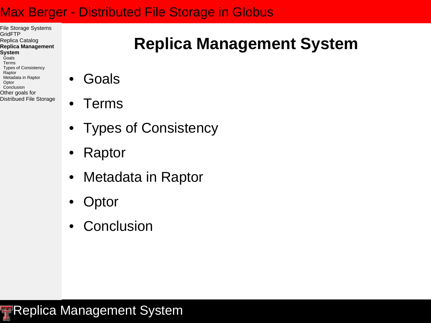File Storage Systems GridFTP Replica Catalog **Replica Management System** Goals Terms Types of Consistency Raptor Metadata in Raptor **Optor Conclusion** 

Distribued File Storage

Other goals for

- **Goals**
- Terms
- Types of Consistency
- Raptor
- Metadata in Raptor
- Optor
- Conclusion

**Replica Management System** 

## **Replica Management System**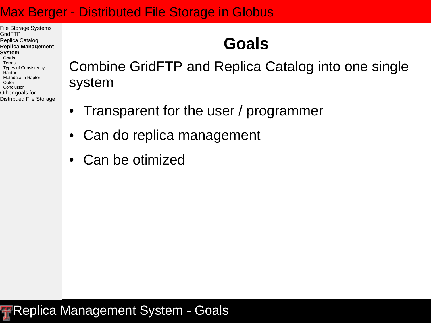File Storage Systems GridFTP Replica Catalog **Replica Management System Goals** Terms Types of Consistency Raptor Metadata in Raptor **Optor Conclusion** Other goals for

Distribued File Storage

### **Goals**

Combine GridFTP and Replica Catalog into one single system

- Transparent for the user / programmer
- Can do replica management
- Can be otimized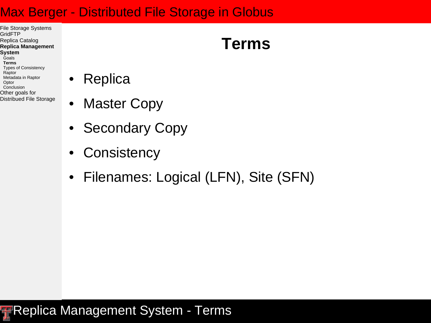- File Storage Systems **GridFTP** Replica Catalog **Replica Management System** Goals **Terms** Types of Consistency Raptor Metadata in Raptor **Optor Conclusion** Other goals for Distribued File Storage
- Replica
- **Master Copy**
- Secondary Copy
- Consistency
- Filenames: Logical (LFN), Site (SFN)

### **Replica Management System - Terms**

### **Terms**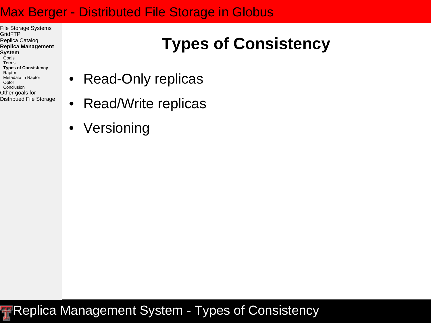File Storage Systems **GridFTP** Replica Catalog **Replica Management System** Goals Terms **Types of Consistency** Raptor Metadata in Raptor **Optor Conclusion** Other goals for

Distribued File Storage

### **Types of Consistency**

- Read-Only replicas
- Read/Write replicas
- Versioning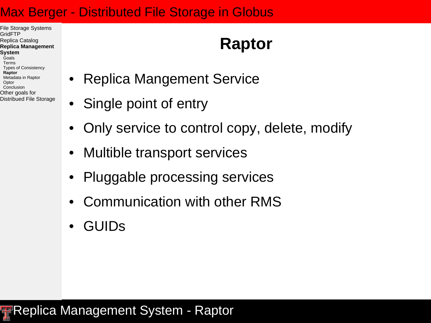File Storage Systems GridFTP Replica Catalog **Replica Management System** Goals Terms Types of Consistency **Raptor** Metadata in Raptor **Optor Conclusion** Other goals for Distribued File Storage

### **Raptor**

- Replica Mangement Service
- Single point of entry
- Only service to control copy, delete, modify
- Multible transport services
- Pluggable processing services
- Communication with other RMS
- GUIDs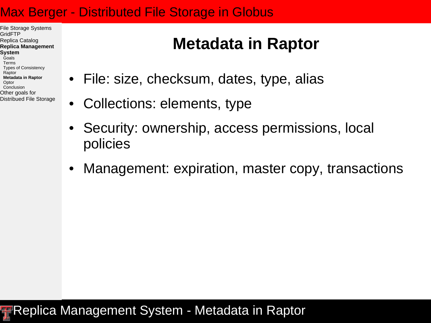File Storage Systems GridFTP Replica Catalog **Replica Management System** Goals Terms Types of Consistency Raptor **Metadata in Raptor Optor Conclusion** Other goals for Distribued File Storage

### **Metadata in Raptor**

- File: size, checksum, dates, type, alias
- Collections: elements, type
- Security: ownership, access permissions, local policies
- Management: expiration, master copy, transactions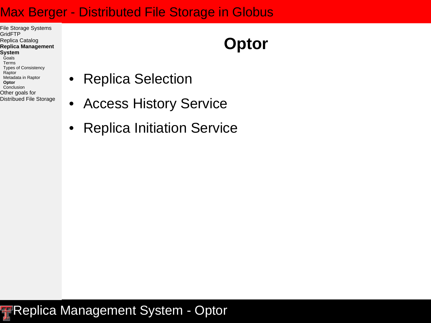File Storage Systems **GridFTP** Replica Catalog **Replica Management System** Goals Terms Types of Consistency Raptor Metadata in Raptor **Optor Conclusion** Other goals for

Distribued File Storage

### **Optor**

- Replica Selection
- Access History Service
- Replica Initiation Service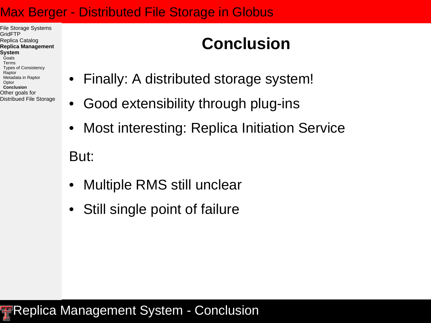File Storage Systems GridFTP Replica Catalog **Replica Management System** Goals Terms Types of Consistency Raptor Metadata in Raptor Optor **Conclusion** Other goals for Distribued File Storage

### **Conclusion**

- Finally: A distributed storage system!
- Good extensibility through plug-ins
- Most interesting: Replica Initiation Service

But:

- Multiple RMS still unclear
- Still single point of failure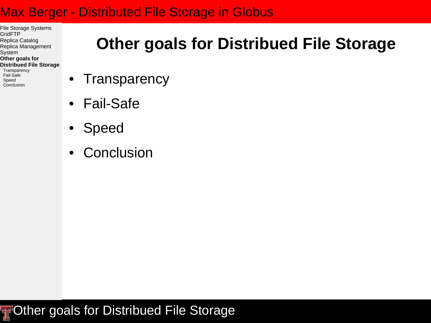- File Storage Systems **GridFTP** Replica Catalog Replica Management System **Other goals for Distribued File Storage**
- **Transparency** Fail-Safe Speed Conclusion

### **Other goals for Distribued File Storage**

- Transparency
- Fail-Safe
- Speed
- **Conclusion**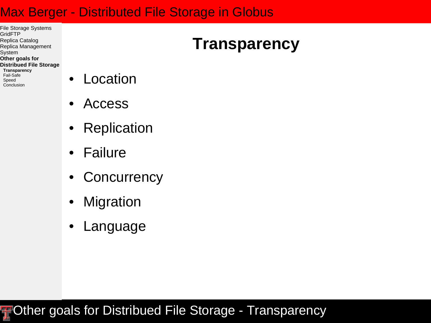File Storage Systems **GridFTP** Replica Catalog Replica Management System **Other goals for Distribued File Storage Transparency** Fail-Safe

Speed Conclusion

- **Location**
- Access
- Replication
- **Failure**
- Concurrency
- Migration
- **Language**

### **FOther goals for Distribued File Storage - Transparency**

### **Transparency**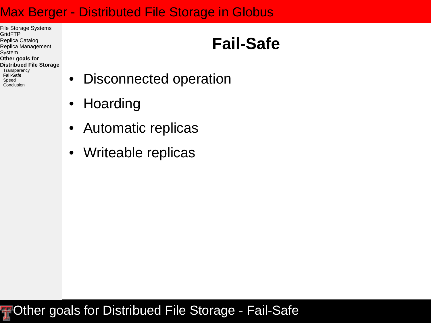File Storage Systems **GridFTP** Replica Catalog Replica Management System **Other goals for Distribued File Storage**

**Transparency Fail-Safe** Speed Conclusion

### **Fail-Safe**

- Disconnected operation
- Hoarding
- Automatic replicas
- Writeable replicas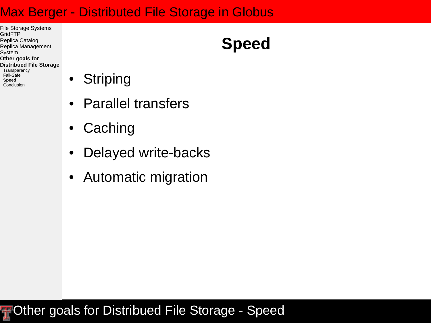File Storage Systems **GridFTP** Replica Catalog Replica Management System **Other goals for Distribued File Storage**

**Transparency** Fail-Safe **Speed** Conclusion

- Striping
- Parallel transfers
- Caching
- Delayed write-backs
- Automatic migration

#### **FOther goals for Distribued File Storage - Speed**

## **Speed**